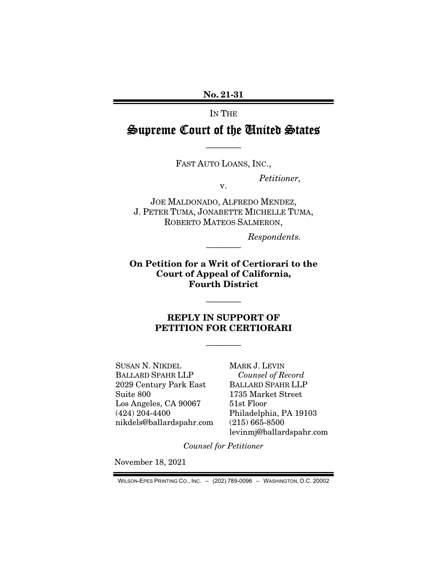No. 21-31

IN THE

Supreme Court of the United States

FAST AUTO LOANS, INC.,

v.

————

*Petitioner,* 

JOE MALDONADO, ALFREDO MENDEZ, J. PETER TUMA, JONABETTE MICHELLE TUMA, ROBERTO MATEOS SALMERON,

*Respondents.* 

On Petition for a Writ of Certiorari to the Court of Appeal of California, Fourth District

————

————

## REPLY IN SUPPORT OF PETITION FOR CERTIORARI

————

SUSAN N. NIKDEL BALLARD SPAHR LLP 2029 Century Park East Suite 800 Los Angeles, CA 90067 (424) 204-4400 nikdels@ballardspahr.com MARK J. LEVIN *Counsel of Record*  BALLARD SPAHR LLP 1735 Market Street 51st Floor Philadelphia, PA 19103 (215) 665-8500 levinmj@ballardspahr.com

*Counsel for Petitioner* 

November 18, 2021

WILSON-EPES PRINTING CO., INC. – (202) 789-0096 – WASHINGTON, D.C. 20002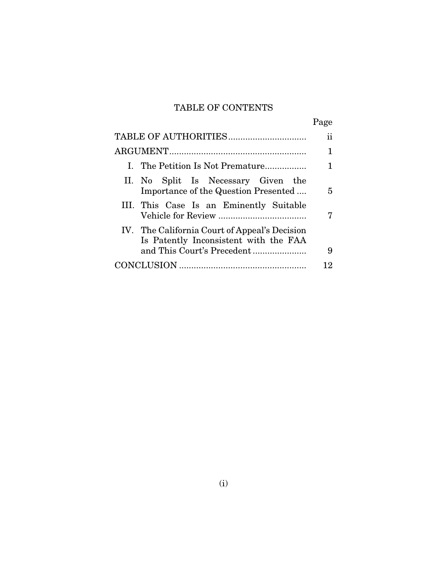# TABLE OF CONTENTS

|                                                                                        | Page |
|----------------------------------------------------------------------------------------|------|
|                                                                                        | 11   |
|                                                                                        | 1    |
| I. The Petition Is Not Premature                                                       |      |
| II. No Split Is Necessary Given the<br>Importance of the Question Presented            | 5    |
| III. This Case Is an Eminently Suitable                                                | 7    |
| IV. The California Court of Appeal's Decision<br>Is Patently Inconsistent with the FAA | 9    |
|                                                                                        | 12   |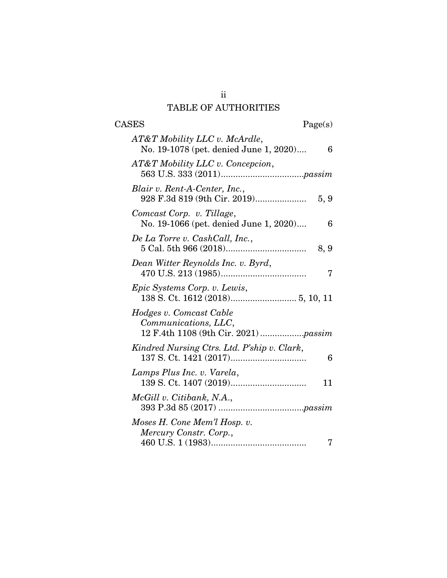# TABLE OF AUTHORITIES

| $\rm{CASES}$<br>Page(s)                                                      |
|------------------------------------------------------------------------------|
| AT&T Mobility LLC v. McArdle,<br>No. 19-1078 (pet. denied June 1, 2020)<br>6 |
| AT&T Mobility LLC v. Concepcion,                                             |
| Blair v. Rent-A-Center, Inc.,<br>5, 9                                        |
| Comcast Corp. v. Tillage,<br>No. 19-1066 (pet. denied June 1, 2020)<br>6     |
| De La Torre v. CashCall, Inc.,<br>8, 9                                       |
| Dean Witter Reynolds Inc. v. Byrd,<br>7                                      |
| Epic Systems Corp. v. Lewis,                                                 |
| Hodges v. Comcast Cable<br>Communications, LLC,                              |
| Kindred Nursing Ctrs. Ltd. P'ship v. Clark,<br>6                             |
| Lamps Plus Inc. v. Varela,<br>11                                             |
| McGill v. Citibank, N.A.,                                                    |
| Moses H. Cone Mem'l Hosp. v.<br>Mercury Constr. Corp.,<br>7                  |
|                                                                              |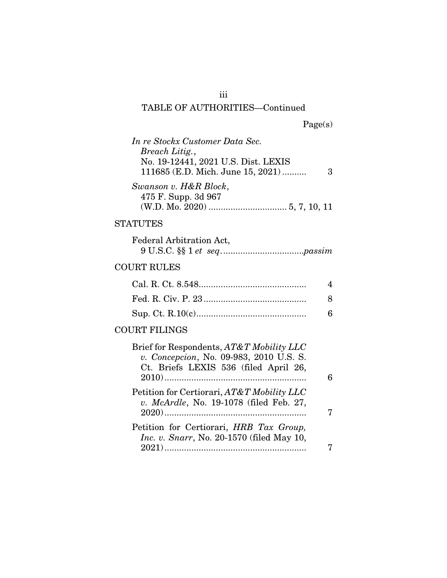# TABLE OF AUTHORITIES—Continued

|  | Page(s) |
|--|---------|
|  |         |

iii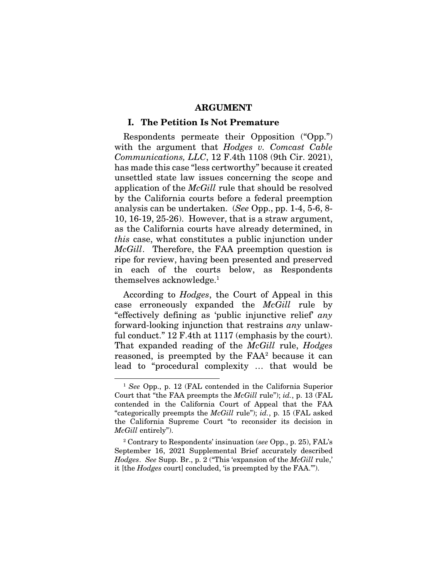#### ARGUMENT

#### I. The Petition Is Not Premature

Respondents permeate their Opposition ("Opp.") with the argument that *Hodges v. Comcast Cable Communications, LLC*, 12 F.4th 1108 (9th Cir. 2021), has made this case "less certworthy" because it created unsettled state law issues concerning the scope and application of the *McGill* rule that should be resolved by the California courts before a federal preemption analysis can be undertaken. (*See* Opp., pp. 1-4, 5-6, 8- 10, 16-19, 25-26). However, that is a straw argument, as the California courts have already determined, in *this* case, what constitutes a public injunction under *McGill*. Therefore, the FAA preemption question is ripe for review, having been presented and preserved in each of the courts below, as Respondents themselves acknowledge.1

According to *Hodges*, the Court of Appeal in this case erroneously expanded the *McGill* rule by "effectively defining as 'public injunctive relief' *any* forward-looking injunction that restrains *any* unlawful conduct." 12 F.4th at 1117 (emphasis by the court). That expanded reading of the *McGill* rule, *Hodges* reasoned, is preempted by the FAA<sup>2</sup> because it can lead to "procedural complexity … that would be

<sup>1</sup> *See* Opp., p. 12 (FAL contended in the California Superior Court that "the FAA preempts the *McGill* rule"); *id.*, p. 13 (FAL contended in the California Court of Appeal that the FAA "categorically preempts the *McGill* rule"); *id.*, p. 15 (FAL asked the California Supreme Court "to reconsider its decision in *McGill* entirely").

<sup>2</sup> Contrary to Respondents' insinuation (*see* Opp., p. 25), FAL's September 16, 2021 Supplemental Brief accurately described *Hodges*. *See* Supp. Br., p. 2 ("This 'expansion of the *McGill* rule,' it [the *Hodges* court] concluded, 'is preempted by the FAA.'").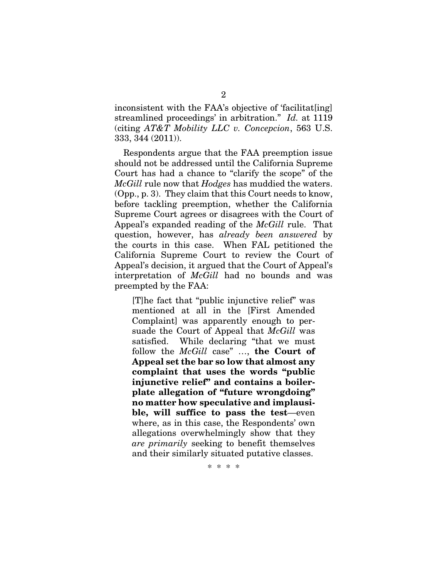inconsistent with the FAA's objective of 'facilitat[ing] streamlined proceedings' in arbitration." *Id.* at 1119 (citing *AT&T Mobility LLC v. Concepcion*, 563 U.S. 333, 344 (2011)).

Respondents argue that the FAA preemption issue should not be addressed until the California Supreme Court has had a chance to "clarify the scope" of the *McGill* rule now that *Hodges* has muddied the waters. (Opp., p. 3). They claim that this Court needs to know, before tackling preemption, whether the California Supreme Court agrees or disagrees with the Court of Appeal's expanded reading of the *McGill* rule. That question, however, has *already been answered* by the courts in this case. When FAL petitioned the California Supreme Court to review the Court of Appeal's decision, it argued that the Court of Appeal's interpretation of *McGill* had no bounds and was preempted by the FAA:

[T]he fact that "public injunctive relief" was mentioned at all in the [First Amended Complaint] was apparently enough to persuade the Court of Appeal that *McGill* was satisfied. While declaring "that we must follow the *McGill* case" …, the Court of Appeal set the bar so low that almost any complaint that uses the words "public injunctive relief" and contains a boilerplate allegation of "future wrongdoing" no matter how speculative and implausible, will suffice to pass the test—even where, as in this case, the Respondents' own allegations overwhelmingly show that they *are primarily* seeking to benefit themselves and their similarly situated putative classes.

\* \* \* \*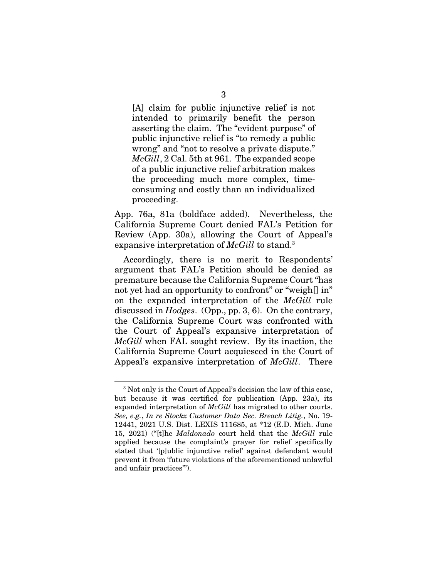[A] claim for public injunctive relief is not intended to primarily benefit the person asserting the claim. The "evident purpose" of public injunctive relief is "to remedy a public wrong" and "not to resolve a private dispute." *McGill*, 2 Cal. 5th at 961. The expanded scope of a public injunctive relief arbitration makes the proceeding much more complex, timeconsuming and costly than an individualized proceeding.

App. 76a, 81a (boldface added). Nevertheless, the California Supreme Court denied FAL's Petition for Review (App. 30a), allowing the Court of Appeal's expansive interpretation of *McGill* to stand.3

Accordingly, there is no merit to Respondents' argument that FAL's Petition should be denied as premature because the California Supreme Court "has not yet had an opportunity to confront" or "weigh<sup>[]</sup> in" on the expanded interpretation of the *McGill* rule discussed in *Hodges*. (Opp., pp. 3, 6). On the contrary, the California Supreme Court was confronted with the Court of Appeal's expansive interpretation of *McGill* when FAL sought review. By its inaction, the California Supreme Court acquiesced in the Court of Appeal's expansive interpretation of *McGill*. There

<sup>3</sup> Not only is the Court of Appeal's decision the law of this case, but because it was certified for publication (App. 23a), its expanded interpretation of *McGill* has migrated to other courts. *See, e.g.*, *In re Stockx Customer Data Sec. Breach Litig.*, No. 19- 12441, 2021 U.S. Dist. LEXIS 111685, at \*12 (E.D. Mich. June 15, 2021) ("[t]he *Maldonado* court held that the *McGill* rule applied because the complaint's prayer for relief specifically stated that '[p]ublic injunctive relief' against defendant would prevent it from 'future violations of the aforementioned unlawful and unfair practices'").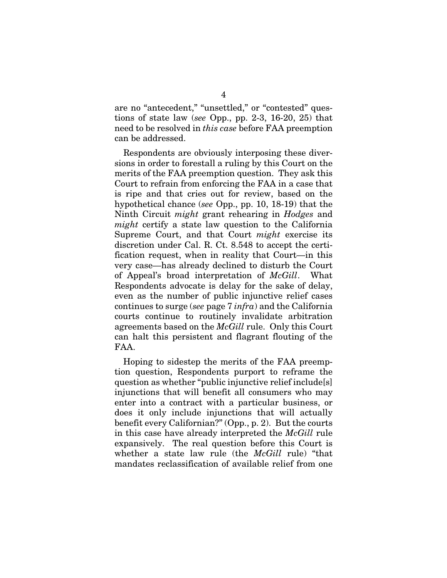are no "antecedent," "unsettled," or "contested" questions of state law (*see* Opp., pp. 2-3, 16-20, 25) that need to be resolved in *this case* before FAA preemption can be addressed.

Respondents are obviously interposing these diversions in order to forestall a ruling by this Court on the merits of the FAA preemption question. They ask this Court to refrain from enforcing the FAA in a case that is ripe and that cries out for review, based on the hypothetical chance (*see* Opp., pp. 10, 18-19) that the Ninth Circuit *might* grant rehearing in *Hodges* and *might* certify a state law question to the California Supreme Court, and that Court *might* exercise its discretion under Cal. R. Ct. 8.548 to accept the certification request, when in reality that Court—in this very case—has already declined to disturb the Court of Appeal's broad interpretation of *McGill*. What Respondents advocate is delay for the sake of delay, even as the number of public injunctive relief cases continues to surge (*see* page 7 *infra*) and the California courts continue to routinely invalidate arbitration agreements based on the *McGill* rule. Only this Court can halt this persistent and flagrant flouting of the FAA.

Hoping to sidestep the merits of the FAA preemption question, Respondents purport to reframe the question as whether "public injunctive relief include[s] injunctions that will benefit all consumers who may enter into a contract with a particular business, or does it only include injunctions that will actually benefit every Californian?" (Opp., p. 2). But the courts in this case have already interpreted the *McGill* rule expansively. The real question before this Court is whether a state law rule (the *McGill* rule) "that mandates reclassification of available relief from one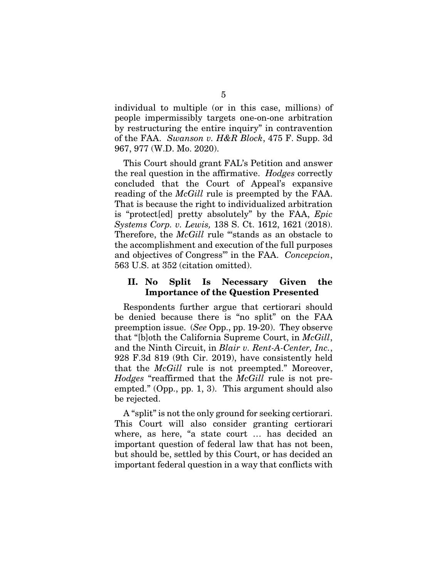individual to multiple (or in this case, millions) of people impermissibly targets one-on-one arbitration by restructuring the entire inquiry" in contravention of the FAA. *Swanson v. H&R Block*, 475 F. Supp. 3d 967, 977 (W.D. Mo. 2020).

This Court should grant FAL's Petition and answer the real question in the affirmative. *Hodges* correctly concluded that the Court of Appeal's expansive reading of the *McGill* rule is preempted by the FAA. That is because the right to individualized arbitration is "protect[ed] pretty absolutely" by the FAA, *Epic Systems Corp. v. Lewis,* 138 S. Ct. 1612, 1621 (2018). Therefore, the *McGill* rule "stands as an obstacle to the accomplishment and execution of the full purposes and objectives of Congress"' in the FAA. *Concepcion*, 563 U.S. at 352 (citation omitted).

## II. No Split Is Necessary Given the Importance of the Question Presented

Respondents further argue that certiorari should be denied because there is "no split" on the FAA preemption issue. (*See* Opp., pp. 19-20). They observe that "[b]oth the California Supreme Court, in *McGill*, and the Ninth Circuit, in *Blair v. Rent-A-Center, Inc.*, 928 F.3d 819 (9th Cir. 2019), have consistently held that the *McGill* rule is not preempted." Moreover, *Hodges* "reaffirmed that the *McGill* rule is not preempted." (Opp., pp. 1, 3). This argument should also be rejected.

A "split" is not the only ground for seeking certiorari. This Court will also consider granting certiorari where, as here, "a state court … has decided an important question of federal law that has not been, but should be, settled by this Court, or has decided an important federal question in a way that conflicts with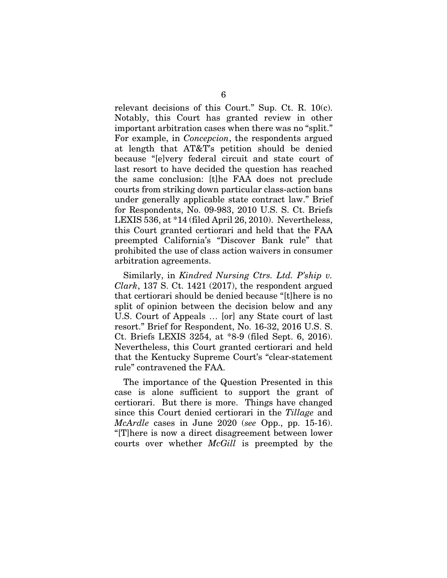relevant decisions of this Court." Sup. Ct. R. 10(c). Notably, this Court has granted review in other important arbitration cases when there was no "split." For example, in *Concepcion*, the respondents argued at length that AT&T's petition should be denied because "[e]very federal circuit and state court of last resort to have decided the question has reached the same conclusion: [t]he FAA does not preclude courts from striking down particular class-action bans under generally applicable state contract law." Brief for Respondents, No. 09-983, 2010 U.S. S. Ct. Briefs LEXIS 536, at \*14 (filed April 26, 2010). Nevertheless, this Court granted certiorari and held that the FAA preempted California's "Discover Bank rule" that prohibited the use of class action waivers in consumer arbitration agreements.

Similarly, in *Kindred Nursing Ctrs. Ltd. P'ship v. Clark*, 137 S. Ct. 1421 (2017), the respondent argued that certiorari should be denied because "[t]here is no split of opinion between the decision below and any U.S. Court of Appeals … [or] any State court of last resort." Brief for Respondent, No. 16-32, 2016 U.S. S. Ct. Briefs LEXIS 3254, at \*8-9 (filed Sept. 6, 2016). Nevertheless, this Court granted certiorari and held that the Kentucky Supreme Court's "clear-statement rule" contravened the FAA.

The importance of the Question Presented in this case is alone sufficient to support the grant of certiorari. But there is more. Things have changed since this Court denied certiorari in the *Tillage* and *McArdle* cases in June 2020 (*see* Opp., pp. 15-16). "[T]here is now a direct disagreement between lower courts over whether *McGill* is preempted by the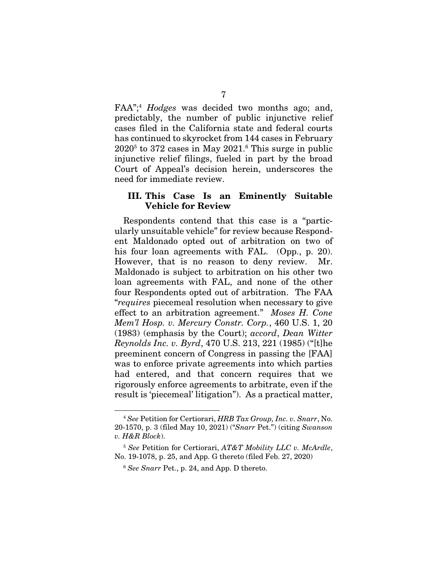FAA";4 *Hodges* was decided two months ago; and, predictably, the number of public injunctive relief cases filed in the California state and federal courts has continued to skyrocket from 144 cases in February  $2020<sup>5</sup>$  to 372 cases in May  $2021<sup>6</sup>$  This surge in public injunctive relief filings, fueled in part by the broad Court of Appeal's decision herein, underscores the need for immediate review.

## III. This Case Is an Eminently Suitable Vehicle for Review

Respondents contend that this case is a "particularly unsuitable vehicle" for review because Respondent Maldonado opted out of arbitration on two of his four loan agreements with FAL. (Opp., p. 20). However, that is no reason to deny review. Mr. Maldonado is subject to arbitration on his other two loan agreements with FAL, and none of the other four Respondents opted out of arbitration. The FAA "*requires* piecemeal resolution when necessary to give effect to an arbitration agreement." *Moses H. Cone Mem'l Hosp. v. Mercury Constr. Corp.*, 460 U.S. 1, 20 (1983) (emphasis by the Court); *accord*, *Dean Witter Reynolds Inc. v. Byrd*, 470 U.S. 213, 221 (1985) ("[t]he preeminent concern of Congress in passing the [FAA] was to enforce private agreements into which parties had entered, and that concern requires that we rigorously enforce agreements to arbitrate, even if the result is 'piecemeal' litigation"). As a practical matter,

<sup>4</sup> *See* Petition for Certiorari, *HRB Tax Group, Inc. v. Snarr*, No. 20-1570, p. 3 (filed May 10, 2021) ("*Snarr* Pet.") (citing *Swanson v. H&R Block*).

<sup>5</sup> *See* Petition for Certiorari, *AT&T Mobility LLC v. McArdle*, No. 19-1078, p. 25, and App. G thereto (filed Feb. 27, 2020)

<sup>6</sup> *See Snarr* Pet., p. 24, and App. D thereto.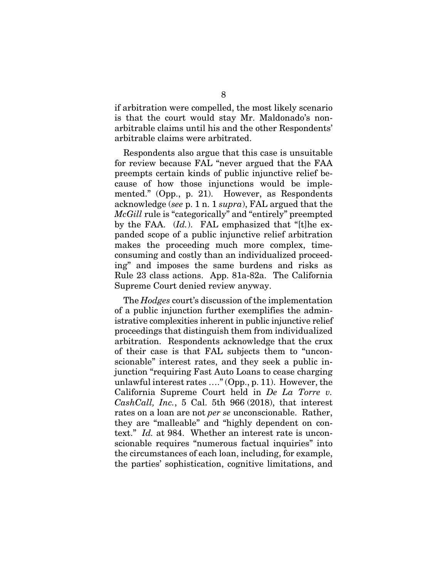if arbitration were compelled, the most likely scenario is that the court would stay Mr. Maldonado's nonarbitrable claims until his and the other Respondents' arbitrable claims were arbitrated.

Respondents also argue that this case is unsuitable for review because FAL "never argued that the FAA preempts certain kinds of public injunctive relief because of how those injunctions would be implemented." (Opp., p. 21). However, as Respondents acknowledge (*see* p. 1 n. 1 *supra*), FAL argued that the *McGill* rule is "categorically" and "entirely" preempted by the FAA. (*Id.*). FAL emphasized that "[t]he expanded scope of a public injunctive relief arbitration makes the proceeding much more complex, timeconsuming and costly than an individualized proceeding" and imposes the same burdens and risks as Rule 23 class actions. App. 81a-82a. The California Supreme Court denied review anyway.

The *Hodges* court's discussion of the implementation of a public injunction further exemplifies the administrative complexities inherent in public injunctive relief proceedings that distinguish them from individualized arbitration. Respondents acknowledge that the crux of their case is that FAL subjects them to "unconscionable" interest rates, and they seek a public injunction "requiring Fast Auto Loans to cease charging unlawful interest rates …." (Opp., p. 11). However, the California Supreme Court held in *De La Torre v. CashCall, Inc.*, 5 Cal. 5th 966 (2018), that interest rates on a loan are not *per se* unconscionable. Rather, they are "malleable" and "highly dependent on context." *Id.* at 984. Whether an interest rate is unconscionable requires "numerous factual inquiries" into the circumstances of each loan, including, for example, the parties' sophistication, cognitive limitations, and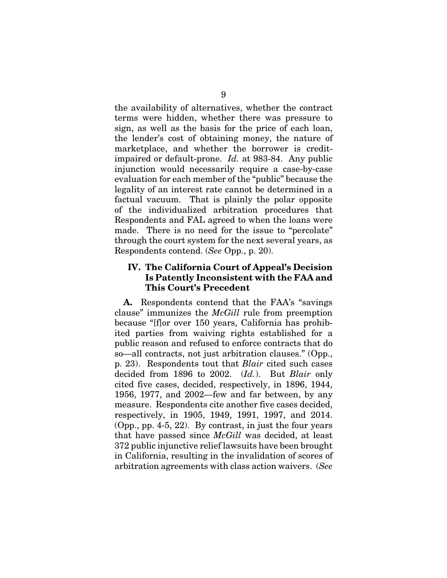the availability of alternatives, whether the contract terms were hidden, whether there was pressure to sign, as well as the basis for the price of each loan, the lender's cost of obtaining money, the nature of marketplace, and whether the borrower is creditimpaired or default-prone. *Id.* at 983-84. Any public injunction would necessarily require a case-by-case evaluation for each member of the "public" because the legality of an interest rate cannot be determined in a factual vacuum. That is plainly the polar opposite of the individualized arbitration procedures that Respondents and FAL agreed to when the loans were made. There is no need for the issue to "percolate" through the court system for the next several years, as Respondents contend. (*See* Opp., p. 20).

## IV. The California Court of Appeal's Decision Is Patently Inconsistent with the FAA and This Court's Precedent

A. Respondents contend that the FAA's "savings clause" immunizes the *McGill* rule from preemption because "[f]or over 150 years, California has prohibited parties from waiving rights established for a public reason and refused to enforce contracts that do so—all contracts, not just arbitration clauses." (Opp., p. 23). Respondents tout that *Blair* cited such cases decided from 1896 to 2002. (*Id.*). But *Blair* only cited five cases, decided, respectively, in 1896, 1944, 1956, 1977, and 2002—few and far between, by any measure. Respondents cite another five cases decided, respectively, in 1905, 1949, 1991, 1997, and 2014. (Opp., pp. 4-5, 22). By contrast, in just the four years that have passed since *McGill* was decided, at least 372 public injunctive relief lawsuits have been brought in California, resulting in the invalidation of scores of arbitration agreements with class action waivers. (*See*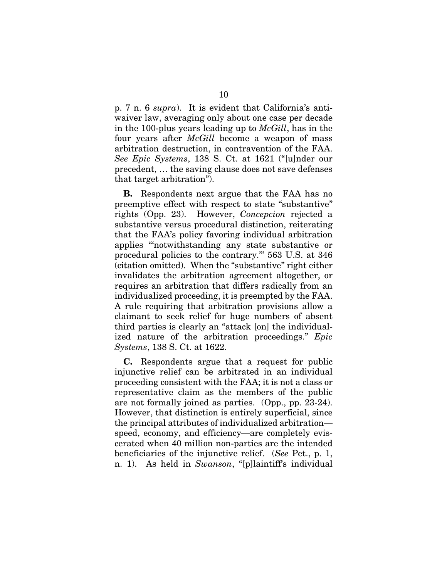p. 7 n. 6 *supra*). It is evident that California's antiwaiver law, averaging only about one case per decade in the 100-plus years leading up to *McGill*, has in the four years after *McGill* become a weapon of mass arbitration destruction, in contravention of the FAA. *See Epic Systems*, 138 S. Ct. at 1621 ("[u]nder our precedent, … the saving clause does not save defenses that target arbitration").

B. Respondents next argue that the FAA has no preemptive effect with respect to state "substantive" rights (Opp. 23). However, *Concepcion* rejected a substantive versus procedural distinction, reiterating that the FAA's policy favoring individual arbitration applies "'notwithstanding any state substantive or procedural policies to the contrary.'" 563 U.S. at 346 (citation omitted). When the "substantive" right either invalidates the arbitration agreement altogether, or requires an arbitration that differs radically from an individualized proceeding, it is preempted by the FAA. A rule requiring that arbitration provisions allow a claimant to seek relief for huge numbers of absent third parties is clearly an "attack [on] the individualized nature of the arbitration proceedings." *Epic Systems*, 138 S. Ct. at 1622.

C. Respondents argue that a request for public injunctive relief can be arbitrated in an individual proceeding consistent with the FAA; it is not a class or representative claim as the members of the public are not formally joined as parties. (Opp., pp. 23-24). However, that distinction is entirely superficial, since the principal attributes of individualized arbitration speed, economy, and efficiency—are completely eviscerated when 40 million non-parties are the intended beneficiaries of the injunctive relief. (*See* Pet., p. 1, n. 1). As held in *Swanson*, "[p]laintiff's individual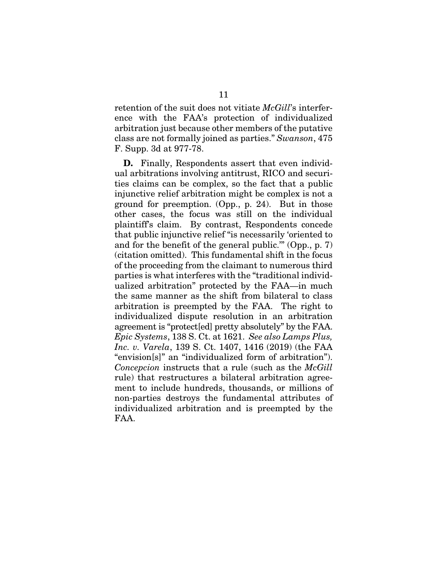retention of the suit does not vitiate *McGill*'s interference with the FAA's protection of individualized arbitration just because other members of the putative class are not formally joined as parties." *Swanson*, 475 F. Supp. 3d at 977-78.

D. Finally, Respondents assert that even individual arbitrations involving antitrust, RICO and securities claims can be complex, so the fact that a public injunctive relief arbitration might be complex is not a ground for preemption. (Opp., p. 24). But in those other cases, the focus was still on the individual plaintiff's claim. By contrast, Respondents concede that public injunctive relief "is necessarily 'oriented to and for the benefit of the general public.'" (Opp., p. 7) (citation omitted). This fundamental shift in the focus of the proceeding from the claimant to numerous third parties is what interferes with the "traditional individualized arbitration" protected by the FAA—in much the same manner as the shift from bilateral to class arbitration is preempted by the FAA. The right to individualized dispute resolution in an arbitration agreement is "protect[ed] pretty absolutely" by the FAA. *Epic Systems*, 138 S. Ct. at 1621. *See also Lamps Plus, Inc. v. Varela*, 139 S. Ct. 1407, 1416 (2019) (the FAA "envision[s]" an "individualized form of arbitration"). *Concepcion* instructs that a rule (such as the *McGill* rule) that restructures a bilateral arbitration agreement to include hundreds, thousands, or millions of non-parties destroys the fundamental attributes of individualized arbitration and is preempted by the FAA.